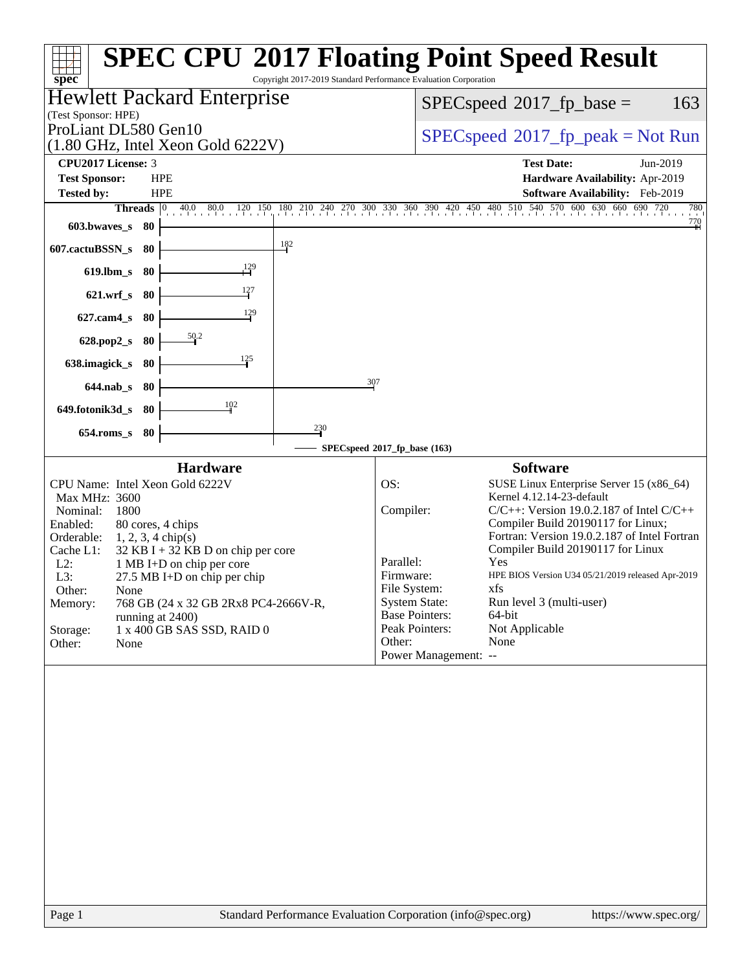|                                                                                                                                                                                         |                                                                                                                                                                                                                                            |                 |                                                                                                                                                                 | <b>SPEC CPU®2017 Floating Point Speed Result</b>                                                                                                                                                                                                                                                                                                                                     |                       |  |  |  |  |
|-----------------------------------------------------------------------------------------------------------------------------------------------------------------------------------------|--------------------------------------------------------------------------------------------------------------------------------------------------------------------------------------------------------------------------------------------|-----------------|-----------------------------------------------------------------------------------------------------------------------------------------------------------------|--------------------------------------------------------------------------------------------------------------------------------------------------------------------------------------------------------------------------------------------------------------------------------------------------------------------------------------------------------------------------------------|-----------------------|--|--|--|--|
| spec <sup>®</sup>                                                                                                                                                                       |                                                                                                                                                                                                                                            |                 | Copyright 2017-2019 Standard Performance Evaluation Corporation                                                                                                 |                                                                                                                                                                                                                                                                                                                                                                                      |                       |  |  |  |  |
| (Test Sponsor: HPE)                                                                                                                                                                     | <b>Hewlett Packard Enterprise</b>                                                                                                                                                                                                          |                 | $SPEC speed^{\circ}2017\_fp\_base =$<br>163                                                                                                                     |                                                                                                                                                                                                                                                                                                                                                                                      |                       |  |  |  |  |
| ProLiant DL580 Gen10                                                                                                                                                                    |                                                                                                                                                                                                                                            |                 |                                                                                                                                                                 |                                                                                                                                                                                                                                                                                                                                                                                      |                       |  |  |  |  |
|                                                                                                                                                                                         | (1.80 GHz, Intel Xeon Gold 6222V)                                                                                                                                                                                                          |                 | $SPEC speed^{\circ}2017\_fp\_peak = Not Run$                                                                                                                    |                                                                                                                                                                                                                                                                                                                                                                                      |                       |  |  |  |  |
| CPU2017 License: 3                                                                                                                                                                      | <b>HPE</b>                                                                                                                                                                                                                                 |                 |                                                                                                                                                                 | <b>Test Date:</b><br>Hardware Availability: Apr-2019                                                                                                                                                                                                                                                                                                                                 | Jun-2019              |  |  |  |  |
| <b>Test Sponsor:</b><br><b>Tested by:</b>                                                                                                                                               | <b>HPE</b>                                                                                                                                                                                                                                 |                 |                                                                                                                                                                 | Software Availability: Feb-2019                                                                                                                                                                                                                                                                                                                                                      |                       |  |  |  |  |
|                                                                                                                                                                                         |                                                                                                                                                                                                                                            |                 |                                                                                                                                                                 | Threads 0 40.0 80.0 120 150 180 210 240 270 300 330 360 390 420 450 480 510 540 570 600 630 660 690 720                                                                                                                                                                                                                                                                              | 780                   |  |  |  |  |
| 603.bwaves_s<br>- 80                                                                                                                                                                    |                                                                                                                                                                                                                                            |                 |                                                                                                                                                                 |                                                                                                                                                                                                                                                                                                                                                                                      | $\frac{770}{4}$       |  |  |  |  |
| 607.cactuBSSN_s<br>- 80                                                                                                                                                                 |                                                                                                                                                                                                                                            | $\frac{182}{2}$ |                                                                                                                                                                 |                                                                                                                                                                                                                                                                                                                                                                                      |                       |  |  |  |  |
| $619$ .lbm_s<br>80                                                                                                                                                                      |                                                                                                                                                                                                                                            |                 |                                                                                                                                                                 |                                                                                                                                                                                                                                                                                                                                                                                      |                       |  |  |  |  |
| $621.wrf$ <sub>S</sub><br>- 80                                                                                                                                                          | 127                                                                                                                                                                                                                                        |                 |                                                                                                                                                                 |                                                                                                                                                                                                                                                                                                                                                                                      |                       |  |  |  |  |
| $627$ .cam $4_s$<br>-80                                                                                                                                                                 | 129                                                                                                                                                                                                                                        |                 |                                                                                                                                                                 |                                                                                                                                                                                                                                                                                                                                                                                      |                       |  |  |  |  |
| 628.pop2_s<br>- 80                                                                                                                                                                      | 50.2                                                                                                                                                                                                                                       |                 |                                                                                                                                                                 |                                                                                                                                                                                                                                                                                                                                                                                      |                       |  |  |  |  |
| 638.imagick_s<br>-80                                                                                                                                                                    | 125                                                                                                                                                                                                                                        |                 |                                                                                                                                                                 |                                                                                                                                                                                                                                                                                                                                                                                      |                       |  |  |  |  |
| $644.nab_s$<br>- 80                                                                                                                                                                     |                                                                                                                                                                                                                                            | 307             |                                                                                                                                                                 |                                                                                                                                                                                                                                                                                                                                                                                      |                       |  |  |  |  |
| 649.fotonik3d_s 80                                                                                                                                                                      | 102                                                                                                                                                                                                                                        |                 |                                                                                                                                                                 |                                                                                                                                                                                                                                                                                                                                                                                      |                       |  |  |  |  |
|                                                                                                                                                                                         |                                                                                                                                                                                                                                            | $\frac{230}{4}$ |                                                                                                                                                                 |                                                                                                                                                                                                                                                                                                                                                                                      |                       |  |  |  |  |
| $654$ .roms_s<br>-80                                                                                                                                                                    |                                                                                                                                                                                                                                            |                 | SPECspeed®2017_fp_base (163)                                                                                                                                    |                                                                                                                                                                                                                                                                                                                                                                                      |                       |  |  |  |  |
|                                                                                                                                                                                         | <b>Hardware</b><br><b>Software</b>                                                                                                                                                                                                         |                 |                                                                                                                                                                 |                                                                                                                                                                                                                                                                                                                                                                                      |                       |  |  |  |  |
| CPU Name: Intel Xeon Gold 6222V<br>Max MHz: 3600<br>Nominal:<br>1800<br>Enabled:<br>Orderable:<br>Cache L1:<br>$L2$ :<br>L3:<br>Other:<br>None<br>Memory:<br>Storage:<br>Other:<br>None | 80 cores, 4 chips<br>$1, 2, 3, 4$ chip(s)<br>$32$ KB I + 32 KB D on chip per core<br>1 MB I+D on chip per core<br>$27.5$ MB I+D on chip per chip<br>768 GB (24 x 32 GB 2Rx8 PC4-2666V-R,<br>running at 2400)<br>1 x 400 GB SAS SSD, RAID 0 |                 | OS:<br>Compiler:<br>Parallel:<br>Firmware:<br>File System:<br><b>System State:</b><br><b>Base Pointers:</b><br>Peak Pointers:<br>Other:<br>Power Management: -- | SUSE Linux Enterprise Server 15 (x86_64)<br>Kernel 4.12.14-23-default<br>$C/C++$ : Version 19.0.2.187 of Intel $C/C++$<br>Compiler Build 20190117 for Linux;<br>Fortran: Version 19.0.2.187 of Intel Fortran<br>Compiler Build 20190117 for Linux<br>Yes<br>HPE BIOS Version U34 05/21/2019 released Apr-2019<br>xfs<br>Run level 3 (multi-user)<br>64-bit<br>Not Applicable<br>None |                       |  |  |  |  |
| Page 1                                                                                                                                                                                  |                                                                                                                                                                                                                                            |                 | Standard Performance Evaluation Corporation (info@spec.org)                                                                                                     |                                                                                                                                                                                                                                                                                                                                                                                      | https://www.spec.org/ |  |  |  |  |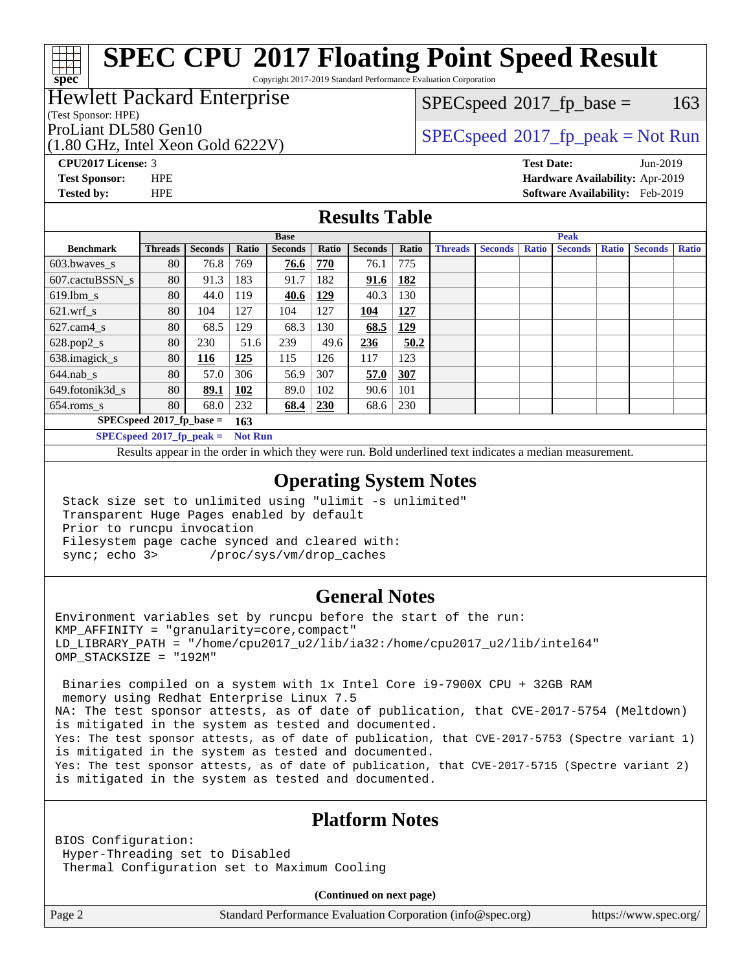Copyright 2017-2019 Standard Performance Evaluation Corporation

#### Hewlett Packard Enterprise

(Test Sponsor: HPE)

**[spec](http://www.spec.org/)**

(1.80 GHz, Intel Xeon Gold 6222V)

 $SPECspeed^{\circledcirc}2017_fp\_base = 163$  $SPECspeed^{\circledcirc}2017_fp\_base = 163$ 

ProLiant DL580 Gen10  $SPEC speed^{\circ}2017$ \_fp\_peak = Not Run

**[CPU2017 License:](http://www.spec.org/auto/cpu2017/Docs/result-fields.html#CPU2017License)** 3 **[Test Date:](http://www.spec.org/auto/cpu2017/Docs/result-fields.html#TestDate)** Jun-2019 **[Test Sponsor:](http://www.spec.org/auto/cpu2017/Docs/result-fields.html#TestSponsor)** HPE **[Hardware Availability:](http://www.spec.org/auto/cpu2017/Docs/result-fields.html#HardwareAvailability)** Apr-2019 **[Tested by:](http://www.spec.org/auto/cpu2017/Docs/result-fields.html#Testedby)** HPE **[Software Availability:](http://www.spec.org/auto/cpu2017/Docs/result-fields.html#SoftwareAvailability)** Feb-2019

#### **[Results Table](http://www.spec.org/auto/cpu2017/Docs/result-fields.html#ResultsTable)**

|                                    | <b>Base</b>    |                |                   |                |            | <b>Peak</b>    |       |                |                |              |                |              |                |              |
|------------------------------------|----------------|----------------|-------------------|----------------|------------|----------------|-------|----------------|----------------|--------------|----------------|--------------|----------------|--------------|
| <b>Benchmark</b>                   | <b>Threads</b> | <b>Seconds</b> | Ratio             | <b>Seconds</b> | Ratio      | <b>Seconds</b> | Ratio | <b>Threads</b> | <b>Seconds</b> | <b>Ratio</b> | <b>Seconds</b> | <b>Ratio</b> | <b>Seconds</b> | <b>Ratio</b> |
| $603.bwaves$ s                     | 80             | 76.8           | 769               | 76.6           | 770        | 76.1           | 775   |                |                |              |                |              |                |              |
| 607.cactuBSSN s                    | 80             | 91.3           | 183               | 91.7           | 182        | 91.6           | 182   |                |                |              |                |              |                |              |
| $619.$ lbm s                       | 80             | 44.0           | 119               | 40.6           | 129        | 40.3           | 130   |                |                |              |                |              |                |              |
| $621$ .wrf s                       | 80             | 104            | 127               | 104            | 127        | 104            | 127   |                |                |              |                |              |                |              |
| $627$ .cam $4 \text{ s}$           | 80             | 68.5           | 129               | 68.3           | 130        | 68.5           | 129   |                |                |              |                |              |                |              |
| $628.pop2_s$                       | 80             | 230            | 51.6              | 239            | 49.6       | 236            | 50.2  |                |                |              |                |              |                |              |
| $638$ .imagick_s                   | 80             | 116            | 125               | 115            | 126        | 117            | 123   |                |                |              |                |              |                |              |
| $644$ .nab s                       | 80             | 57.0           | 306               | 56.9           | 307        | 57.0           | 307   |                |                |              |                |              |                |              |
| 649.fotonik3d s                    | 80             | 89.1           | 102               | 89.0           | 102        | 90.6           | 101   |                |                |              |                |              |                |              |
| $654$ .roms s                      | 80             | 68.0           | 232               | 68.4           | <b>230</b> | 68.6           | 230   |                |                |              |                |              |                |              |
| $SPECspeed*2017_fp\_base =$<br>163 |                |                |                   |                |            |                |       |                |                |              |                |              |                |              |
| $CDF^{\prime}$                     |                |                | <b>STATISTICS</b> |                |            |                |       |                |                |              |                |              |                |              |

**[SPECspeed](http://www.spec.org/auto/cpu2017/Docs/result-fields.html#SPECspeed2017fppeak)[2017\\_fp\\_peak =](http://www.spec.org/auto/cpu2017/Docs/result-fields.html#SPECspeed2017fppeak) Not Run**

Results appear in the [order in which they were run.](http://www.spec.org/auto/cpu2017/Docs/result-fields.html#RunOrder) Bold underlined text [indicates a median measurement](http://www.spec.org/auto/cpu2017/Docs/result-fields.html#Median).

#### **[Operating System Notes](http://www.spec.org/auto/cpu2017/Docs/result-fields.html#OperatingSystemNotes)**

 Stack size set to unlimited using "ulimit -s unlimited" Transparent Huge Pages enabled by default Prior to runcpu invocation Filesystem page cache synced and cleared with: sync; echo 3> /proc/sys/vm/drop\_caches

#### **[General Notes](http://www.spec.org/auto/cpu2017/Docs/result-fields.html#GeneralNotes)**

Environment variables set by runcpu before the start of the run: KMP\_AFFINITY = "granularity=core,compact" LD\_LIBRARY\_PATH = "/home/cpu2017\_u2/lib/ia32:/home/cpu2017\_u2/lib/intel64" OMP\_STACKSIZE = "192M"

 Binaries compiled on a system with 1x Intel Core i9-7900X CPU + 32GB RAM memory using Redhat Enterprise Linux 7.5 NA: The test sponsor attests, as of date of publication, that CVE-2017-5754 (Meltdown) is mitigated in the system as tested and documented. Yes: The test sponsor attests, as of date of publication, that CVE-2017-5753 (Spectre variant 1) is mitigated in the system as tested and documented. Yes: The test sponsor attests, as of date of publication, that CVE-2017-5715 (Spectre variant 2) is mitigated in the system as tested and documented.

#### **[Platform Notes](http://www.spec.org/auto/cpu2017/Docs/result-fields.html#PlatformNotes)**

BIOS Configuration: Hyper-Threading set to Disabled Thermal Configuration set to Maximum Cooling

**(Continued on next page)**

Page 2 Standard Performance Evaluation Corporation [\(info@spec.org\)](mailto:info@spec.org) <https://www.spec.org/>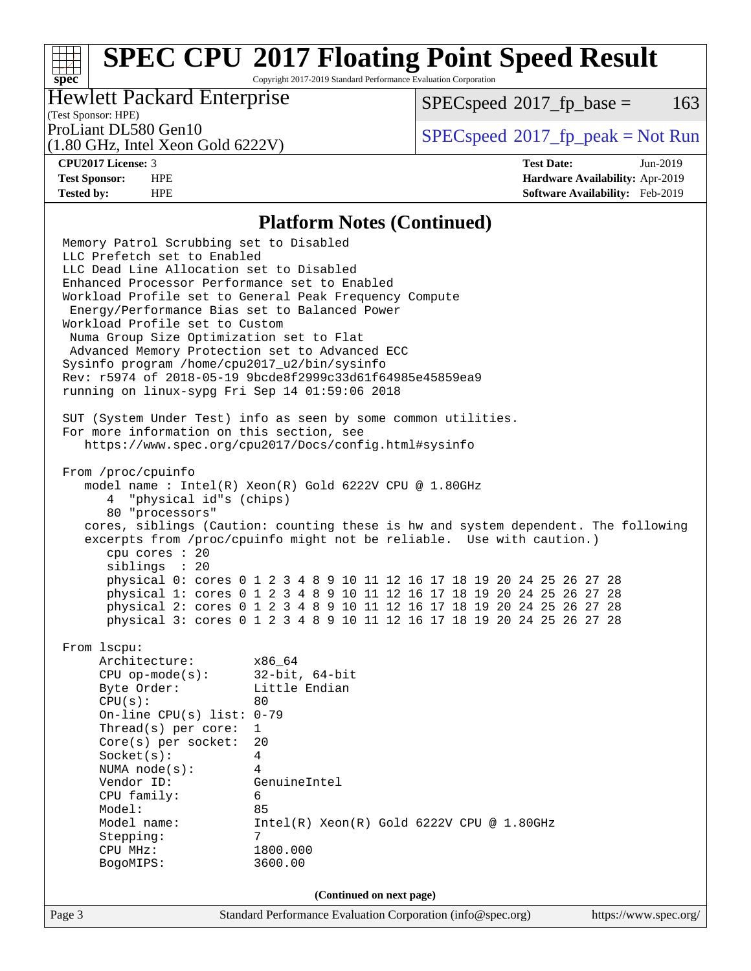Copyright 2017-2019 Standard Performance Evaluation Corporation

#### Hewlett Packard Enterprise

 $SPECspeed^{\circ}2017\_fp\_base = 163$  $SPECspeed^{\circ}2017\_fp\_base = 163$ 

### (Test Sponsor: HPE)

(1.80 GHz, Intel Xeon Gold 6222V)

ProLiant DL580 Gen10  $SPEC speed^{\circ}2017$ \_fp\_peak = Not Run

**[spec](http://www.spec.org/)**<sup>®</sup>

**[CPU2017 License:](http://www.spec.org/auto/cpu2017/Docs/result-fields.html#CPU2017License)** 3 **[Test Date:](http://www.spec.org/auto/cpu2017/Docs/result-fields.html#TestDate)** Jun-2019 **[Test Sponsor:](http://www.spec.org/auto/cpu2017/Docs/result-fields.html#TestSponsor)** HPE **[Hardware Availability:](http://www.spec.org/auto/cpu2017/Docs/result-fields.html#HardwareAvailability)** Apr-2019 **[Tested by:](http://www.spec.org/auto/cpu2017/Docs/result-fields.html#Testedby)** HPE **[Software Availability:](http://www.spec.org/auto/cpu2017/Docs/result-fields.html#SoftwareAvailability)** Feb-2019

#### **[Platform Notes \(Continued\)](http://www.spec.org/auto/cpu2017/Docs/result-fields.html#PlatformNotes)**

Page 3 Standard Performance Evaluation Corporation [\(info@spec.org\)](mailto:info@spec.org) <https://www.spec.org/> Memory Patrol Scrubbing set to Disabled LLC Prefetch set to Enabled LLC Dead Line Allocation set to Disabled Enhanced Processor Performance set to Enabled Workload Profile set to General Peak Frequency Compute Energy/Performance Bias set to Balanced Power Workload Profile set to Custom Numa Group Size Optimization set to Flat Advanced Memory Protection set to Advanced ECC Sysinfo program /home/cpu2017\_u2/bin/sysinfo Rev: r5974 of 2018-05-19 9bcde8f2999c33d61f64985e45859ea9 running on linux-sypg Fri Sep 14 01:59:06 2018 SUT (System Under Test) info as seen by some common utilities. For more information on this section, see <https://www.spec.org/cpu2017/Docs/config.html#sysinfo> From /proc/cpuinfo model name : Intel(R) Xeon(R) Gold 6222V CPU @ 1.80GHz 4 "physical id"s (chips) 80 "processors" cores, siblings (Caution: counting these is hw and system dependent. The following excerpts from /proc/cpuinfo might not be reliable. Use with caution.) cpu cores : 20 siblings : 20 physical 0: cores 0 1 2 3 4 8 9 10 11 12 16 17 18 19 20 24 25 26 27 28 physical 1: cores 0 1 2 3 4 8 9 10 11 12 16 17 18 19 20 24 25 26 27 28 physical 2: cores 0 1 2 3 4 8 9 10 11 12 16 17 18 19 20 24 25 26 27 28 physical 3: cores 0 1 2 3 4 8 9 10 11 12 16 17 18 19 20 24 25 26 27 28 From lscpu: Architecture: x86\_64 CPU op-mode(s): 32-bit, 64-bit Byte Order: Little Endian  $CPU(s):$  80 On-line CPU(s) list: 0-79 Thread(s) per core: 1 Core(s) per socket: 20 Socket(s): 4 NUMA node(s): 4 Vendor ID: GenuineIntel CPU family: 6 Model: 85<br>Model name: 1n  $Intel(R)$  Xeon $(R)$  Gold 6222V CPU @ 1.80GHz Stepping: 7 CPU MHz: 1800.000 BogoMIPS: 3600.00 **(Continued on next page)**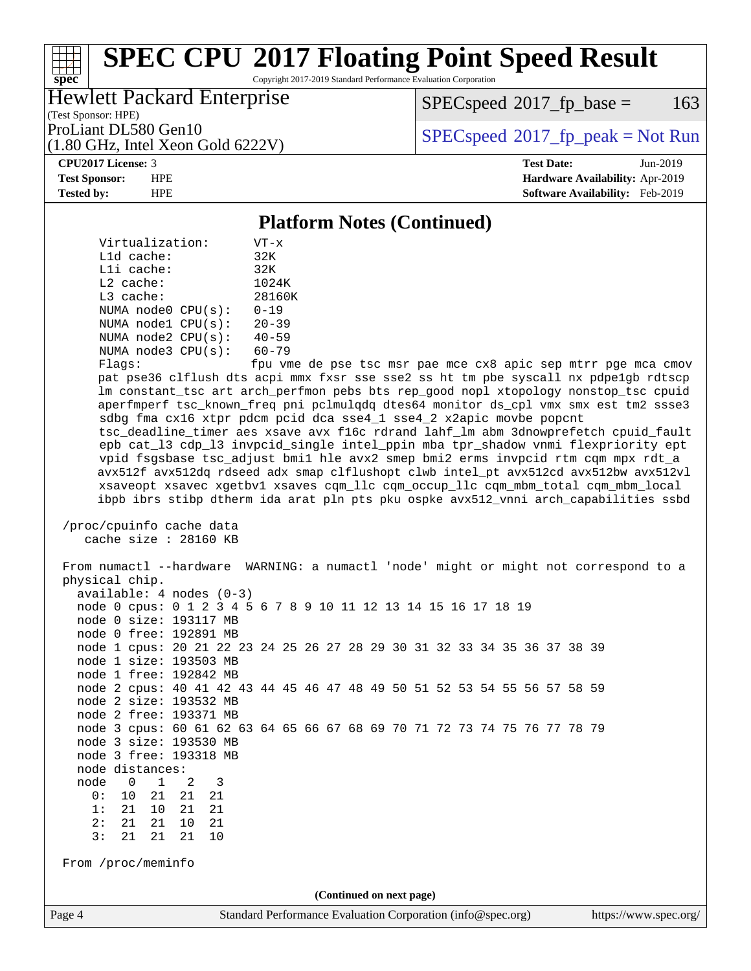Copyright 2017-2019 Standard Performance Evaluation Corporation

#### Hewlett Packard Enterprise

 $SPECspeed^{\circ}2017\_fp\_base = 163$  $SPECspeed^{\circ}2017\_fp\_base = 163$ 

(Test Sponsor: HPE)

(1.80 GHz, Intel Xeon Gold 6222V)

ProLiant DL580 Gen10  $SPEC speed^{\circ}2017$ \_fp\_peak = Not Run

#### **[CPU2017 License:](http://www.spec.org/auto/cpu2017/Docs/result-fields.html#CPU2017License)** 3 **[Test Date:](http://www.spec.org/auto/cpu2017/Docs/result-fields.html#TestDate)** Jun-2019

**[spec](http://www.spec.org/)**

**[Test Sponsor:](http://www.spec.org/auto/cpu2017/Docs/result-fields.html#TestSponsor)** HPE **[Hardware Availability:](http://www.spec.org/auto/cpu2017/Docs/result-fields.html#HardwareAvailability)** Apr-2019 **[Tested by:](http://www.spec.org/auto/cpu2017/Docs/result-fields.html#Testedby)** HPE **[Software Availability:](http://www.spec.org/auto/cpu2017/Docs/result-fields.html#SoftwareAvailability)** Feb-2019

#### **[Platform Notes \(Continued\)](http://www.spec.org/auto/cpu2017/Docs/result-fields.html#PlatformNotes)**

 Virtualization: VT-x L1d cache: 32K L1i cache: 32K L2 cache: 1024K L3 cache: 28160K NUMA node0 CPU(s): 0-19 NUMA node1 CPU(s): 20-39 NUMA node2 CPU(s): 40-59 NUMA node3 CPU(s): 60-79

Flags: fpu vme de pse tsc msr pae mce cx8 apic sep mtrr pge mca cmov pat pse36 clflush dts acpi mmx fxsr sse sse2 ss ht tm pbe syscall nx pdpe1gb rdtscp lm constant\_tsc art arch\_perfmon pebs bts rep\_good nopl xtopology nonstop\_tsc cpuid aperfmperf tsc\_known\_freq pni pclmulqdq dtes64 monitor ds\_cpl vmx smx est tm2 ssse3 sdbg fma cx16 xtpr pdcm pcid dca sse4\_1 sse4\_2 x2apic movbe popcnt tsc\_deadline\_timer aes xsave avx f16c rdrand lahf\_lm abm 3dnowprefetch cpuid\_fault epb cat\_l3 cdp\_l3 invpcid\_single intel\_ppin mba tpr\_shadow vnmi flexpriority ept vpid fsgsbase tsc\_adjust bmi1 hle avx2 smep bmi2 erms invpcid rtm cqm mpx rdt\_a avx512f avx512dq rdseed adx smap clflushopt clwb intel\_pt avx512cd avx512bw avx512vl xsaveopt xsavec xgetbv1 xsaves cqm\_llc cqm\_occup\_llc cqm\_mbm\_total cqm\_mbm\_local ibpb ibrs stibp dtherm ida arat pln pts pku ospke avx512\_vnni arch\_capabilities ssbd

 /proc/cpuinfo cache data cache size : 28160 KB

Page 4 Standard Performance Evaluation Corporation [\(info@spec.org\)](mailto:info@spec.org) <https://www.spec.org/> From numactl --hardware WARNING: a numactl 'node' might or might not correspond to a physical chip. available: 4 nodes (0-3) node 0 cpus: 0 1 2 3 4 5 6 7 8 9 10 11 12 13 14 15 16 17 18 19 node 0 size: 193117 MB node 0 free: 192891 MB node 1 cpus: 20 21 22 23 24 25 26 27 28 29 30 31 32 33 34 35 36 37 38 39 node 1 size: 193503 MB node 1 free: 192842 MB node 2 cpus: 40 41 42 43 44 45 46 47 48 49 50 51 52 53 54 55 56 57 58 59 node 2 size: 193532 MB node 2 free: 193371 MB node 3 cpus: 60 61 62 63 64 65 66 67 68 69 70 71 72 73 74 75 76 77 78 79 node 3 size: 193530 MB node 3 free: 193318 MB node distances: node 0 1 2 3 0: 10 21 21 21 1: 21 10 21 21 2: 21 21 10 21 3: 21 21 21 10 From /proc/meminfo **(Continued on next page)**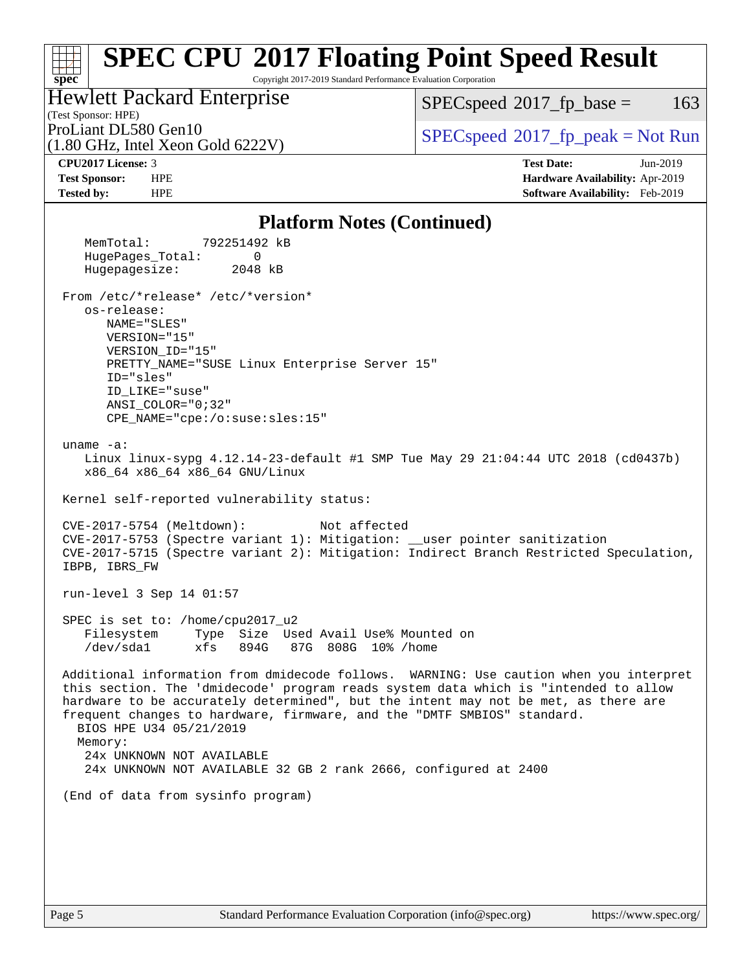Copyright 2017-2019 Standard Performance Evaluation Corporation

(Test Sponsor: HPE) Hewlett Packard Enterprise

(1.80 GHz, Intel Xeon Gold 6222V)

 $SPECspeed^{\circ}2017\_fp\_base = 163$  $SPECspeed^{\circ}2017\_fp\_base = 163$ 

ProLiant DL580 Gen10  $SPEC speed^{\circ}2017$ \_fp\_peak = Not Run

**[spec](http://www.spec.org/)**

**[CPU2017 License:](http://www.spec.org/auto/cpu2017/Docs/result-fields.html#CPU2017License)** 3 **[Test Date:](http://www.spec.org/auto/cpu2017/Docs/result-fields.html#TestDate)** Jun-2019 **[Test Sponsor:](http://www.spec.org/auto/cpu2017/Docs/result-fields.html#TestSponsor)** HPE **[Hardware Availability:](http://www.spec.org/auto/cpu2017/Docs/result-fields.html#HardwareAvailability)** Apr-2019 **[Tested by:](http://www.spec.org/auto/cpu2017/Docs/result-fields.html#Testedby)** HPE **[Software Availability:](http://www.spec.org/auto/cpu2017/Docs/result-fields.html#SoftwareAvailability)** Feb-2019

#### **[Platform Notes \(Continued\)](http://www.spec.org/auto/cpu2017/Docs/result-fields.html#PlatformNotes)**

 MemTotal: 792251492 kB HugePages\_Total: 0 Hugepagesize: 2048 kB From /etc/\*release\* /etc/\*version\* os-release: NAME="SLES" VERSION="15" VERSION\_ID="15" PRETTY\_NAME="SUSE Linux Enterprise Server 15" ID="sles" ID\_LIKE="suse" ANSI\_COLOR="0;32" CPE\_NAME="cpe:/o:suse:sles:15" uname -a: Linux linux-sypg 4.12.14-23-default #1 SMP Tue May 29 21:04:44 UTC 2018 (cd0437b) x86\_64 x86\_64 x86\_64 GNU/Linux Kernel self-reported vulnerability status: CVE-2017-5754 (Meltdown): Not affected CVE-2017-5753 (Spectre variant 1): Mitigation: \_\_user pointer sanitization CVE-2017-5715 (Spectre variant 2): Mitigation: Indirect Branch Restricted Speculation, IBPB, IBRS\_FW run-level 3 Sep 14 01:57 SPEC is set to: /home/cpu2017\_u2 Filesystem Type Size Used Avail Use% Mounted on /dev/sda1 xfs 894G 87G 808G 10% /home Additional information from dmidecode follows. WARNING: Use caution when you interpret this section. The 'dmidecode' program reads system data which is "intended to allow hardware to be accurately determined", but the intent may not be met, as there are frequent changes to hardware, firmware, and the "DMTF SMBIOS" standard. BIOS HPE U34 05/21/2019 Memory: 24x UNKNOWN NOT AVAILABLE 24x UNKNOWN NOT AVAILABLE 32 GB 2 rank 2666, configured at 2400 (End of data from sysinfo program)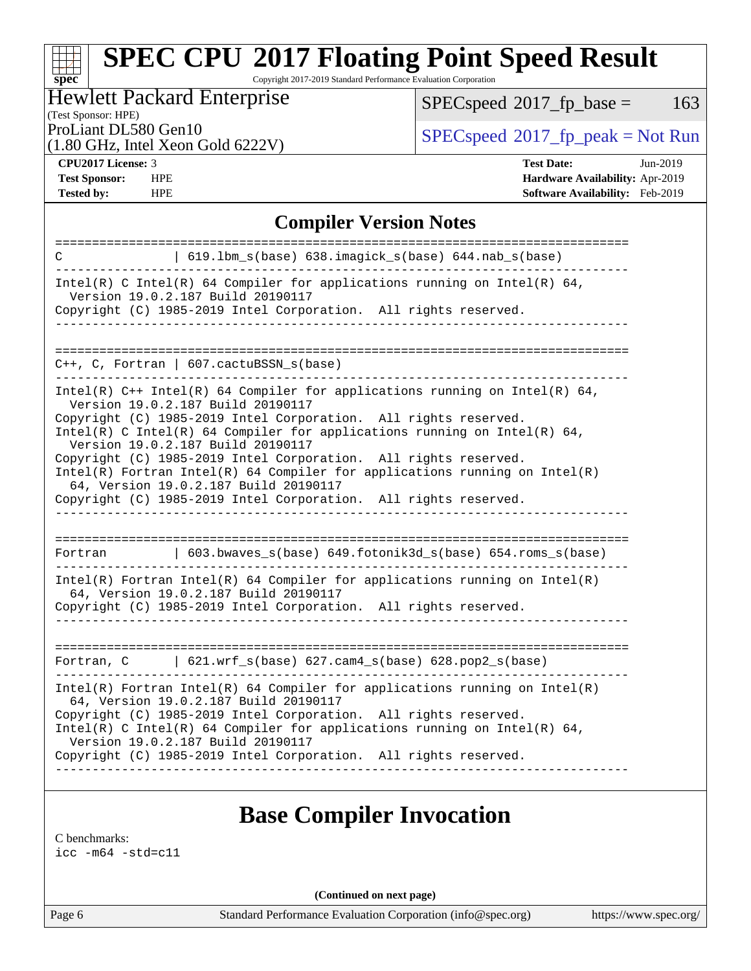Copyright 2017-2019 Standard Performance Evaluation Corporation

### Hewlett Packard Enterprise

 $SPECspeed^{\circ}2017_fp\_base = 163$  $SPECspeed^{\circ}2017_fp\_base = 163$ 

### (Test Sponsor: HPE)

(1.80 GHz, Intel Xeon Gold 6222V)

ProLiant DL580 Gen10<br>(1.80 GHz, Intel Year Gold 6222V) [SPECspeed](http://www.spec.org/auto/cpu2017/Docs/result-fields.html#SPECspeed2017fppeak)<sup>®</sup>[2017\\_fp\\_peak = N](http://www.spec.org/auto/cpu2017/Docs/result-fields.html#SPECspeed2017fppeak)ot Run

**[spec](http://www.spec.org/)**

**[Tested by:](http://www.spec.org/auto/cpu2017/Docs/result-fields.html#Testedby)** HPE **[Software Availability:](http://www.spec.org/auto/cpu2017/Docs/result-fields.html#SoftwareAvailability)** Feb-2019

**[CPU2017 License:](http://www.spec.org/auto/cpu2017/Docs/result-fields.html#CPU2017License)** 3 **[Test Date:](http://www.spec.org/auto/cpu2017/Docs/result-fields.html#TestDate)** Jun-2019 **[Test Sponsor:](http://www.spec.org/auto/cpu2017/Docs/result-fields.html#TestSponsor)** HPE **[Hardware Availability:](http://www.spec.org/auto/cpu2017/Docs/result-fields.html#HardwareAvailability)** Apr-2019

#### **[Compiler Version Notes](http://www.spec.org/auto/cpu2017/Docs/result-fields.html#CompilerVersionNotes)**

| $619.1$ bm_s(base) $638.imagick_s(base)$ $644.nab_s(base)$<br>C                                                                                                                          |  |  |  |  |  |  |
|------------------------------------------------------------------------------------------------------------------------------------------------------------------------------------------|--|--|--|--|--|--|
| Intel(R) C Intel(R) 64 Compiler for applications running on Intel(R) 64,<br>Version 19.0.2.187 Build 20190117<br>Copyright (C) 1985-2019 Intel Corporation. All rights reserved.         |  |  |  |  |  |  |
|                                                                                                                                                                                          |  |  |  |  |  |  |
| $C_{++}$ , C, Fortran   607.cactuBSSN_s(base)                                                                                                                                            |  |  |  |  |  |  |
| Intel(R) $C++$ Intel(R) 64 Compiler for applications running on Intel(R) 64,<br>Version 19.0.2.187 Build 20190117                                                                        |  |  |  |  |  |  |
| Copyright (C) 1985-2019 Intel Corporation. All rights reserved.<br>Intel(R) C Intel(R) 64 Compiler for applications running on Intel(R) 64,<br>Version 19.0.2.187 Build 20190117         |  |  |  |  |  |  |
| Copyright (C) 1985-2019 Intel Corporation. All rights reserved.<br>$Intel(R)$ Fortran Intel(R) 64 Compiler for applications running on Intel(R)<br>64, Version 19.0.2.187 Build 20190117 |  |  |  |  |  |  |
| Copyright (C) 1985-2019 Intel Corporation. All rights reserved.                                                                                                                          |  |  |  |  |  |  |
|                                                                                                                                                                                          |  |  |  |  |  |  |
|                                                                                                                                                                                          |  |  |  |  |  |  |
| $\vert$ 603.bwaves_s(base) 649.fotonik3d_s(base) 654.roms_s(base)<br>Fortran<br>____________________                                                                                     |  |  |  |  |  |  |
| Intel(R) Fortran Intel(R) 64 Compiler for applications running on Intel(R)                                                                                                               |  |  |  |  |  |  |
| 64, Version 19.0.2.187 Build 20190117<br>Copyright (C) 1985-2019 Intel Corporation. All rights reserved.                                                                                 |  |  |  |  |  |  |
|                                                                                                                                                                                          |  |  |  |  |  |  |
| $621.wrf_s(base) 627.cam4_s(base) 628.pop2_s(base)$<br>Fortran, C                                                                                                                        |  |  |  |  |  |  |
| $Intel(R)$ Fortran Intel(R) 64 Compiler for applications running on Intel(R)<br>64, Version 19.0.2.187 Build 20190117                                                                    |  |  |  |  |  |  |
| Copyright (C) 1985-2019 Intel Corporation. All rights reserved.<br>Intel(R) C Intel(R) 64 Compiler for applications running on Intel(R) 64,                                              |  |  |  |  |  |  |
| Version 19.0.2.187 Build 20190117<br>Copyright (C) 1985-2019 Intel Corporation. All rights reserved.                                                                                     |  |  |  |  |  |  |

### **[Base Compiler Invocation](http://www.spec.org/auto/cpu2017/Docs/result-fields.html#BaseCompilerInvocation)**

[C benchmarks](http://www.spec.org/auto/cpu2017/Docs/result-fields.html#Cbenchmarks):

[icc -m64 -std=c11](http://www.spec.org/cpu2017/results/res2019q4/cpu2017-20190819-16802.flags.html#user_CCbase_intel_icc_64bit_c11_33ee0cdaae7deeeab2a9725423ba97205ce30f63b9926c2519791662299b76a0318f32ddfffdc46587804de3178b4f9328c46fa7c2b0cd779d7a61945c91cd35)

**(Continued on next page)**

Page 6 Standard Performance Evaluation Corporation [\(info@spec.org\)](mailto:info@spec.org) <https://www.spec.org/>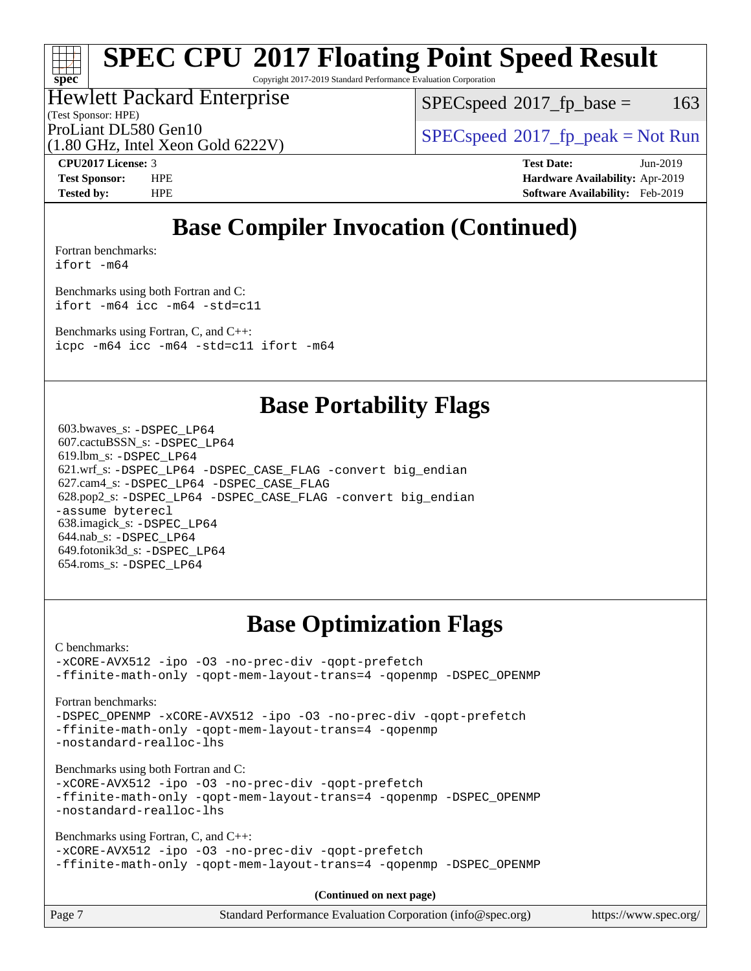Copyright 2017-2019 Standard Performance Evaluation Corporation

### Hewlett Packard Enterprise

(Test Sponsor: HPE)

 $SPEC speed^{\circ}2017\_fp\_base = 163$ 

ProLiant DL580 Gen10  $SPEC speed^{\circ}2017$   $fp$  peak = Not Run

(1.80 GHz, Intel Xeon Gold 6222V)

**[spec](http://www.spec.org/)**

**[CPU2017 License:](http://www.spec.org/auto/cpu2017/Docs/result-fields.html#CPU2017License)** 3 **[Test Date:](http://www.spec.org/auto/cpu2017/Docs/result-fields.html#TestDate)** Jun-2019 **[Test Sponsor:](http://www.spec.org/auto/cpu2017/Docs/result-fields.html#TestSponsor)** HPE **[Hardware Availability:](http://www.spec.org/auto/cpu2017/Docs/result-fields.html#HardwareAvailability)** Apr-2019 **[Tested by:](http://www.spec.org/auto/cpu2017/Docs/result-fields.html#Testedby)** HPE **[Software Availability:](http://www.spec.org/auto/cpu2017/Docs/result-fields.html#SoftwareAvailability)** Feb-2019

## **[Base Compiler Invocation \(Continued\)](http://www.spec.org/auto/cpu2017/Docs/result-fields.html#BaseCompilerInvocation)**

[Fortran benchmarks](http://www.spec.org/auto/cpu2017/Docs/result-fields.html#Fortranbenchmarks): [ifort -m64](http://www.spec.org/cpu2017/results/res2019q4/cpu2017-20190819-16802.flags.html#user_FCbase_intel_ifort_64bit_24f2bb282fbaeffd6157abe4f878425411749daecae9a33200eee2bee2fe76f3b89351d69a8130dd5949958ce389cf37ff59a95e7a40d588e8d3a57e0c3fd751)

[Benchmarks using both Fortran and C](http://www.spec.org/auto/cpu2017/Docs/result-fields.html#BenchmarksusingbothFortranandC): [ifort -m64](http://www.spec.org/cpu2017/results/res2019q4/cpu2017-20190819-16802.flags.html#user_CC_FCbase_intel_ifort_64bit_24f2bb282fbaeffd6157abe4f878425411749daecae9a33200eee2bee2fe76f3b89351d69a8130dd5949958ce389cf37ff59a95e7a40d588e8d3a57e0c3fd751) [icc -m64 -std=c11](http://www.spec.org/cpu2017/results/res2019q4/cpu2017-20190819-16802.flags.html#user_CC_FCbase_intel_icc_64bit_c11_33ee0cdaae7deeeab2a9725423ba97205ce30f63b9926c2519791662299b76a0318f32ddfffdc46587804de3178b4f9328c46fa7c2b0cd779d7a61945c91cd35)

[Benchmarks using Fortran, C, and C++:](http://www.spec.org/auto/cpu2017/Docs/result-fields.html#BenchmarksusingFortranCandCXX)

[icpc -m64](http://www.spec.org/cpu2017/results/res2019q4/cpu2017-20190819-16802.flags.html#user_CC_CXX_FCbase_intel_icpc_64bit_4ecb2543ae3f1412ef961e0650ca070fec7b7afdcd6ed48761b84423119d1bf6bdf5cad15b44d48e7256388bc77273b966e5eb805aefd121eb22e9299b2ec9d9) [icc -m64 -std=c11](http://www.spec.org/cpu2017/results/res2019q4/cpu2017-20190819-16802.flags.html#user_CC_CXX_FCbase_intel_icc_64bit_c11_33ee0cdaae7deeeab2a9725423ba97205ce30f63b9926c2519791662299b76a0318f32ddfffdc46587804de3178b4f9328c46fa7c2b0cd779d7a61945c91cd35) [ifort -m64](http://www.spec.org/cpu2017/results/res2019q4/cpu2017-20190819-16802.flags.html#user_CC_CXX_FCbase_intel_ifort_64bit_24f2bb282fbaeffd6157abe4f878425411749daecae9a33200eee2bee2fe76f3b89351d69a8130dd5949958ce389cf37ff59a95e7a40d588e8d3a57e0c3fd751)

### **[Base Portability Flags](http://www.spec.org/auto/cpu2017/Docs/result-fields.html#BasePortabilityFlags)**

 603.bwaves\_s: [-DSPEC\\_LP64](http://www.spec.org/cpu2017/results/res2019q4/cpu2017-20190819-16802.flags.html#suite_basePORTABILITY603_bwaves_s_DSPEC_LP64) 607.cactuBSSN\_s: [-DSPEC\\_LP64](http://www.spec.org/cpu2017/results/res2019q4/cpu2017-20190819-16802.flags.html#suite_basePORTABILITY607_cactuBSSN_s_DSPEC_LP64) 619.lbm\_s: [-DSPEC\\_LP64](http://www.spec.org/cpu2017/results/res2019q4/cpu2017-20190819-16802.flags.html#suite_basePORTABILITY619_lbm_s_DSPEC_LP64) 621.wrf\_s: [-DSPEC\\_LP64](http://www.spec.org/cpu2017/results/res2019q4/cpu2017-20190819-16802.flags.html#suite_basePORTABILITY621_wrf_s_DSPEC_LP64) [-DSPEC\\_CASE\\_FLAG](http://www.spec.org/cpu2017/results/res2019q4/cpu2017-20190819-16802.flags.html#b621.wrf_s_baseCPORTABILITY_DSPEC_CASE_FLAG) [-convert big\\_endian](http://www.spec.org/cpu2017/results/res2019q4/cpu2017-20190819-16802.flags.html#user_baseFPORTABILITY621_wrf_s_convert_big_endian_c3194028bc08c63ac5d04de18c48ce6d347e4e562e8892b8bdbdc0214820426deb8554edfa529a3fb25a586e65a3d812c835984020483e7e73212c4d31a38223) 627.cam4\_s: [-DSPEC\\_LP64](http://www.spec.org/cpu2017/results/res2019q4/cpu2017-20190819-16802.flags.html#suite_basePORTABILITY627_cam4_s_DSPEC_LP64) [-DSPEC\\_CASE\\_FLAG](http://www.spec.org/cpu2017/results/res2019q4/cpu2017-20190819-16802.flags.html#b627.cam4_s_baseCPORTABILITY_DSPEC_CASE_FLAG) 628.pop2\_s: [-DSPEC\\_LP64](http://www.spec.org/cpu2017/results/res2019q4/cpu2017-20190819-16802.flags.html#suite_basePORTABILITY628_pop2_s_DSPEC_LP64) [-DSPEC\\_CASE\\_FLAG](http://www.spec.org/cpu2017/results/res2019q4/cpu2017-20190819-16802.flags.html#b628.pop2_s_baseCPORTABILITY_DSPEC_CASE_FLAG) [-convert big\\_endian](http://www.spec.org/cpu2017/results/res2019q4/cpu2017-20190819-16802.flags.html#user_baseFPORTABILITY628_pop2_s_convert_big_endian_c3194028bc08c63ac5d04de18c48ce6d347e4e562e8892b8bdbdc0214820426deb8554edfa529a3fb25a586e65a3d812c835984020483e7e73212c4d31a38223) [-assume byterecl](http://www.spec.org/cpu2017/results/res2019q4/cpu2017-20190819-16802.flags.html#user_baseFPORTABILITY628_pop2_s_assume_byterecl_7e47d18b9513cf18525430bbf0f2177aa9bf368bc7a059c09b2c06a34b53bd3447c950d3f8d6c70e3faf3a05c8557d66a5798b567902e8849adc142926523472) 638.imagick\_s: [-DSPEC\\_LP64](http://www.spec.org/cpu2017/results/res2019q4/cpu2017-20190819-16802.flags.html#suite_basePORTABILITY638_imagick_s_DSPEC_LP64) 644.nab\_s: [-DSPEC\\_LP64](http://www.spec.org/cpu2017/results/res2019q4/cpu2017-20190819-16802.flags.html#suite_basePORTABILITY644_nab_s_DSPEC_LP64) 649.fotonik3d\_s: [-DSPEC\\_LP64](http://www.spec.org/cpu2017/results/res2019q4/cpu2017-20190819-16802.flags.html#suite_basePORTABILITY649_fotonik3d_s_DSPEC_LP64) 654.roms\_s: [-DSPEC\\_LP64](http://www.spec.org/cpu2017/results/res2019q4/cpu2017-20190819-16802.flags.html#suite_basePORTABILITY654_roms_s_DSPEC_LP64)

## **[Base Optimization Flags](http://www.spec.org/auto/cpu2017/Docs/result-fields.html#BaseOptimizationFlags)**

[C benchmarks](http://www.spec.org/auto/cpu2017/Docs/result-fields.html#Cbenchmarks):

[-xCORE-AVX512](http://www.spec.org/cpu2017/results/res2019q4/cpu2017-20190819-16802.flags.html#user_CCbase_f-xCORE-AVX512) [-ipo](http://www.spec.org/cpu2017/results/res2019q4/cpu2017-20190819-16802.flags.html#user_CCbase_f-ipo) [-O3](http://www.spec.org/cpu2017/results/res2019q4/cpu2017-20190819-16802.flags.html#user_CCbase_f-O3) [-no-prec-div](http://www.spec.org/cpu2017/results/res2019q4/cpu2017-20190819-16802.flags.html#user_CCbase_f-no-prec-div) [-qopt-prefetch](http://www.spec.org/cpu2017/results/res2019q4/cpu2017-20190819-16802.flags.html#user_CCbase_f-qopt-prefetch) [-ffinite-math-only](http://www.spec.org/cpu2017/results/res2019q4/cpu2017-20190819-16802.flags.html#user_CCbase_f_finite_math_only_cb91587bd2077682c4b38af759c288ed7c732db004271a9512da14a4f8007909a5f1427ecbf1a0fb78ff2a814402c6114ac565ca162485bbcae155b5e4258871) [-qopt-mem-layout-trans=4](http://www.spec.org/cpu2017/results/res2019q4/cpu2017-20190819-16802.flags.html#user_CCbase_f-qopt-mem-layout-trans_fa39e755916c150a61361b7846f310bcdf6f04e385ef281cadf3647acec3f0ae266d1a1d22d972a7087a248fd4e6ca390a3634700869573d231a252c784941a8) [-qopenmp](http://www.spec.org/cpu2017/results/res2019q4/cpu2017-20190819-16802.flags.html#user_CCbase_qopenmp_16be0c44f24f464004c6784a7acb94aca937f053568ce72f94b139a11c7c168634a55f6653758ddd83bcf7b8463e8028bb0b48b77bcddc6b78d5d95bb1df2967) [-DSPEC\\_OPENMP](http://www.spec.org/cpu2017/results/res2019q4/cpu2017-20190819-16802.flags.html#suite_CCbase_DSPEC_OPENMP)

[Fortran benchmarks](http://www.spec.org/auto/cpu2017/Docs/result-fields.html#Fortranbenchmarks):

[-DSPEC\\_OPENMP](http://www.spec.org/cpu2017/results/res2019q4/cpu2017-20190819-16802.flags.html#suite_FCbase_DSPEC_OPENMP) [-xCORE-AVX512](http://www.spec.org/cpu2017/results/res2019q4/cpu2017-20190819-16802.flags.html#user_FCbase_f-xCORE-AVX512) [-ipo](http://www.spec.org/cpu2017/results/res2019q4/cpu2017-20190819-16802.flags.html#user_FCbase_f-ipo) [-O3](http://www.spec.org/cpu2017/results/res2019q4/cpu2017-20190819-16802.flags.html#user_FCbase_f-O3) [-no-prec-div](http://www.spec.org/cpu2017/results/res2019q4/cpu2017-20190819-16802.flags.html#user_FCbase_f-no-prec-div) [-qopt-prefetch](http://www.spec.org/cpu2017/results/res2019q4/cpu2017-20190819-16802.flags.html#user_FCbase_f-qopt-prefetch) [-ffinite-math-only](http://www.spec.org/cpu2017/results/res2019q4/cpu2017-20190819-16802.flags.html#user_FCbase_f_finite_math_only_cb91587bd2077682c4b38af759c288ed7c732db004271a9512da14a4f8007909a5f1427ecbf1a0fb78ff2a814402c6114ac565ca162485bbcae155b5e4258871) [-qopt-mem-layout-trans=4](http://www.spec.org/cpu2017/results/res2019q4/cpu2017-20190819-16802.flags.html#user_FCbase_f-qopt-mem-layout-trans_fa39e755916c150a61361b7846f310bcdf6f04e385ef281cadf3647acec3f0ae266d1a1d22d972a7087a248fd4e6ca390a3634700869573d231a252c784941a8) [-qopenmp](http://www.spec.org/cpu2017/results/res2019q4/cpu2017-20190819-16802.flags.html#user_FCbase_qopenmp_16be0c44f24f464004c6784a7acb94aca937f053568ce72f94b139a11c7c168634a55f6653758ddd83bcf7b8463e8028bb0b48b77bcddc6b78d5d95bb1df2967) [-nostandard-realloc-lhs](http://www.spec.org/cpu2017/results/res2019q4/cpu2017-20190819-16802.flags.html#user_FCbase_f_2003_std_realloc_82b4557e90729c0f113870c07e44d33d6f5a304b4f63d4c15d2d0f1fab99f5daaed73bdb9275d9ae411527f28b936061aa8b9c8f2d63842963b95c9dd6426b8a)

[Benchmarks using both Fortran and C](http://www.spec.org/auto/cpu2017/Docs/result-fields.html#BenchmarksusingbothFortranandC):

[-xCORE-AVX512](http://www.spec.org/cpu2017/results/res2019q4/cpu2017-20190819-16802.flags.html#user_CC_FCbase_f-xCORE-AVX512) [-ipo](http://www.spec.org/cpu2017/results/res2019q4/cpu2017-20190819-16802.flags.html#user_CC_FCbase_f-ipo) [-O3](http://www.spec.org/cpu2017/results/res2019q4/cpu2017-20190819-16802.flags.html#user_CC_FCbase_f-O3) [-no-prec-div](http://www.spec.org/cpu2017/results/res2019q4/cpu2017-20190819-16802.flags.html#user_CC_FCbase_f-no-prec-div) [-qopt-prefetch](http://www.spec.org/cpu2017/results/res2019q4/cpu2017-20190819-16802.flags.html#user_CC_FCbase_f-qopt-prefetch) [-ffinite-math-only](http://www.spec.org/cpu2017/results/res2019q4/cpu2017-20190819-16802.flags.html#user_CC_FCbase_f_finite_math_only_cb91587bd2077682c4b38af759c288ed7c732db004271a9512da14a4f8007909a5f1427ecbf1a0fb78ff2a814402c6114ac565ca162485bbcae155b5e4258871) [-qopt-mem-layout-trans=4](http://www.spec.org/cpu2017/results/res2019q4/cpu2017-20190819-16802.flags.html#user_CC_FCbase_f-qopt-mem-layout-trans_fa39e755916c150a61361b7846f310bcdf6f04e385ef281cadf3647acec3f0ae266d1a1d22d972a7087a248fd4e6ca390a3634700869573d231a252c784941a8) [-qopenmp](http://www.spec.org/cpu2017/results/res2019q4/cpu2017-20190819-16802.flags.html#user_CC_FCbase_qopenmp_16be0c44f24f464004c6784a7acb94aca937f053568ce72f94b139a11c7c168634a55f6653758ddd83bcf7b8463e8028bb0b48b77bcddc6b78d5d95bb1df2967) [-DSPEC\\_OPENMP](http://www.spec.org/cpu2017/results/res2019q4/cpu2017-20190819-16802.flags.html#suite_CC_FCbase_DSPEC_OPENMP) [-nostandard-realloc-lhs](http://www.spec.org/cpu2017/results/res2019q4/cpu2017-20190819-16802.flags.html#user_CC_FCbase_f_2003_std_realloc_82b4557e90729c0f113870c07e44d33d6f5a304b4f63d4c15d2d0f1fab99f5daaed73bdb9275d9ae411527f28b936061aa8b9c8f2d63842963b95c9dd6426b8a)

[Benchmarks using Fortran, C, and C++:](http://www.spec.org/auto/cpu2017/Docs/result-fields.html#BenchmarksusingFortranCandCXX)

[-xCORE-AVX512](http://www.spec.org/cpu2017/results/res2019q4/cpu2017-20190819-16802.flags.html#user_CC_CXX_FCbase_f-xCORE-AVX512) [-ipo](http://www.spec.org/cpu2017/results/res2019q4/cpu2017-20190819-16802.flags.html#user_CC_CXX_FCbase_f-ipo) [-O3](http://www.spec.org/cpu2017/results/res2019q4/cpu2017-20190819-16802.flags.html#user_CC_CXX_FCbase_f-O3) [-no-prec-div](http://www.spec.org/cpu2017/results/res2019q4/cpu2017-20190819-16802.flags.html#user_CC_CXX_FCbase_f-no-prec-div) [-qopt-prefetch](http://www.spec.org/cpu2017/results/res2019q4/cpu2017-20190819-16802.flags.html#user_CC_CXX_FCbase_f-qopt-prefetch) [-ffinite-math-only](http://www.spec.org/cpu2017/results/res2019q4/cpu2017-20190819-16802.flags.html#user_CC_CXX_FCbase_f_finite_math_only_cb91587bd2077682c4b38af759c288ed7c732db004271a9512da14a4f8007909a5f1427ecbf1a0fb78ff2a814402c6114ac565ca162485bbcae155b5e4258871) [-qopt-mem-layout-trans=4](http://www.spec.org/cpu2017/results/res2019q4/cpu2017-20190819-16802.flags.html#user_CC_CXX_FCbase_f-qopt-mem-layout-trans_fa39e755916c150a61361b7846f310bcdf6f04e385ef281cadf3647acec3f0ae266d1a1d22d972a7087a248fd4e6ca390a3634700869573d231a252c784941a8) [-qopenmp](http://www.spec.org/cpu2017/results/res2019q4/cpu2017-20190819-16802.flags.html#user_CC_CXX_FCbase_qopenmp_16be0c44f24f464004c6784a7acb94aca937f053568ce72f94b139a11c7c168634a55f6653758ddd83bcf7b8463e8028bb0b48b77bcddc6b78d5d95bb1df2967) [-DSPEC\\_OPENMP](http://www.spec.org/cpu2017/results/res2019q4/cpu2017-20190819-16802.flags.html#suite_CC_CXX_FCbase_DSPEC_OPENMP)

**(Continued on next page)**

| Page 7 | Standard Performance Evaluation Corporation (info@spec.org) | https://www.spec.org/ |
|--------|-------------------------------------------------------------|-----------------------|
|        |                                                             |                       |